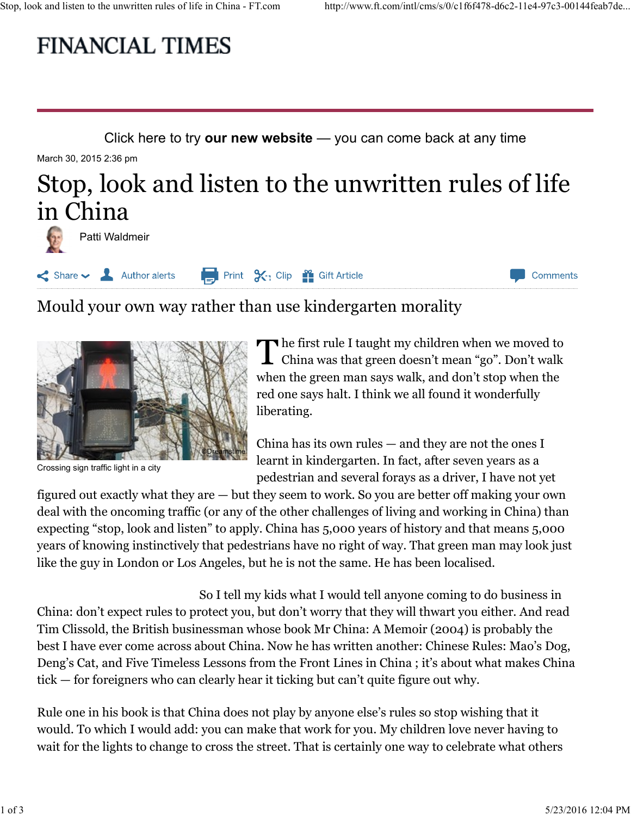# Stop, look and listen to the unwritten rules of life in China - FT.com http://www.ft.com/intl/cms/s/0/c1f6f478-d6c2-11e4-97c3-00144feab7de...<br>
FINANCIAL TIMES

Click here to try our new website — you can come back at any time

March 30, 2015 2:36 pm

## Stop, look and listen to the unwritten rules of life in China



Share V 2 Author alerts **Part 1 Print 3** 2.7 Clip 2 Gift Article Comments

## Mould your own way rather than use kindergarten morality



Crossing sign traffic light in a city

The first rule I taught my children when we moved to China was that green doesn't mean "go". Don't walk when the green man says walk, and don't stop when the red one says halt. I think we all found it wonderfully liberating.

**China has its own rules — and they are not the ones I ODER CHING THE ONES ASSESS** learnt in kindergarten. In fact, after seven years as a pedestrian and several forays as a driver, I have not yet

figured out exactly what they are — but they seem to work. So you are better off making your own deal with the oncoming traffic (or any of the other challenges of living and working in China) than expecting "stop, look and listen" to apply. China has 5,000 years of history and that means 5,000 years of knowing instinctively that pedestrians have no right of way. That green man may look just like the guy in London or Los Angeles, but he is not the same. He has been localised.

So I tell my kids what I would tell anyone coming to do business in China: don't expect rules to protect you, but don't worry that they will thwart you either. And read The Real of the British business and given the British business and the probably of the the present management. In fact, after seven years as a crossing age name up the present particular and several for the present of the best I have ever come across about China. Now he has written another: Chinese Rules: Mao's Dog, Figure 11 and the state of multiple in the state of multiple and the state of multiple and the state of multiple and the state of multiple and the state of multiple and the state of multiple and several forays as a driver, tick — for foreigners who can clearly hear it ticking but can't quite figure out why. years of knowing instinctively that pedestrians have no right of way. That green man may look just<br>like the guy in London or Los Angeles, but he is not the same. He has been localised.<br>So I tell my kids what I would tell a

Rule one in his book is that China does not play by anyone else's rules so stop wishing that it would. To which I would add: you can make that work for you. My children love never having to wait for the lights to change to cross the street. That is certainly one way to celebrate what others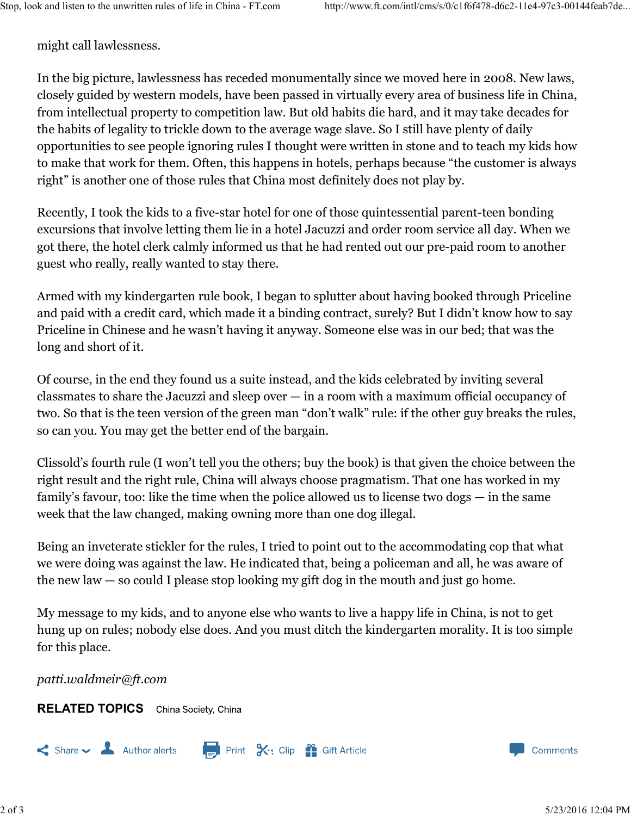might call lawlessness.

In the big picture, lawlessness has receded monumentally since we moved here in 2008. New laws, closely guided by western models, have been passed in virtually every area of business life in China, from intellectual property to competition law. But old habits die hard, and it may take decades for the habits of legality to trickle down to the average wage slave. So I still have plenty of daily opportunities to see people ignoring rules I thought were written in stone and to teach my kids how to make that work for them. Often, this happens in hotels, perhaps because "the customer is always right" is another one of those rules that China most definitely does not play by.

Recently, I took the kids to a five-star hotel for one of those quintessential parent-teen bonding excursions that involve letting them lie in a hotel Jacuzzi and order room service all day. When we got there, the hotel clerk calmly informed us that he had rented out our pre-paid room to another guest who really, really wanted to stay there.

Armed with my kindergarten rule book, I began to splutter about having booked through Priceline and paid with a credit card, which made it a binding contract, surely? But I didn't know how to say Priceline in Chinese and he wasn't having it anyway. Someone else was in our bed; that was the long and short of it.

Of course, in the end they found us a suite instead, and the kids celebrated by inviting several classmates to share the Jacuzzi and sleep over — in a room with a maximum official occupancy of two. So that is the teen version of the green man "don't walk" rule: if the other guy breaks the rules, so can you. You may get the better end of the bargain.

Clissold's fourth rule (I won't tell you the others; buy the book) is that given the choice between the right result and the right rule, China will always choose pragmatism. That one has worked in my family's favour, too: like the time when the police allowed us to license two dogs — in the same week that the law changed, making owning more than one dog illegal.

Being an inveterate stickler for the rules, I tried to point out to the accommodating cop that what we were doing was against the law. He indicated that, being a policeman and all, he was aware of the new law — so could I please stop looking my gift dog in the mouth and just go home.

My message to my kids, and to anyone else who wants to live a happy life in China, is not to get hung up on rules; nobody else does. And you must ditch the kindergarten morality. It is too simple for this place. Being an inveterate stickler for the rules, I tried to point out to the accommodating cop that what<br>we were doing was against the law. He indicated that, being a policeman and all, he was aware of<br>the new law – so could I

patti.waldmeir@ft.com

**RELATED TOPICS** China Society, China

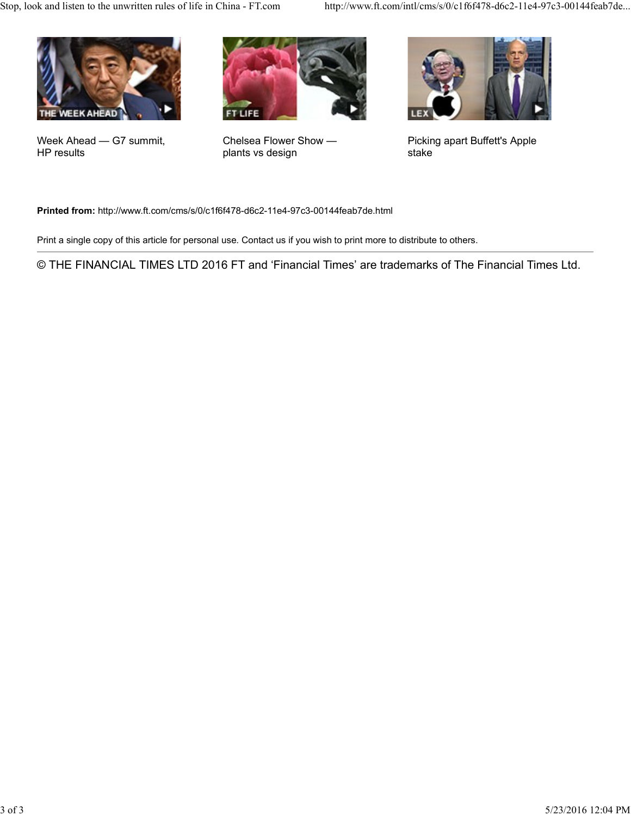

Week Ahead — G7 summit, Chelsea Flower Show — HP results



plants vs design



Chelsea Flower Show — Picking apart Buffett's Apple stake

Printed from: http://www.ft.com/cms/s/0/c1f6f478-d6c2-11e4-97c3-00144feab7de.html

Print a single copy of this article for personal use. Contact us if you wish to print more to distribute to others.

© THE FINANCIAL TIMES LTD 2016 FT and 'Financial Times' are trademarks of The Financial Times Ltd.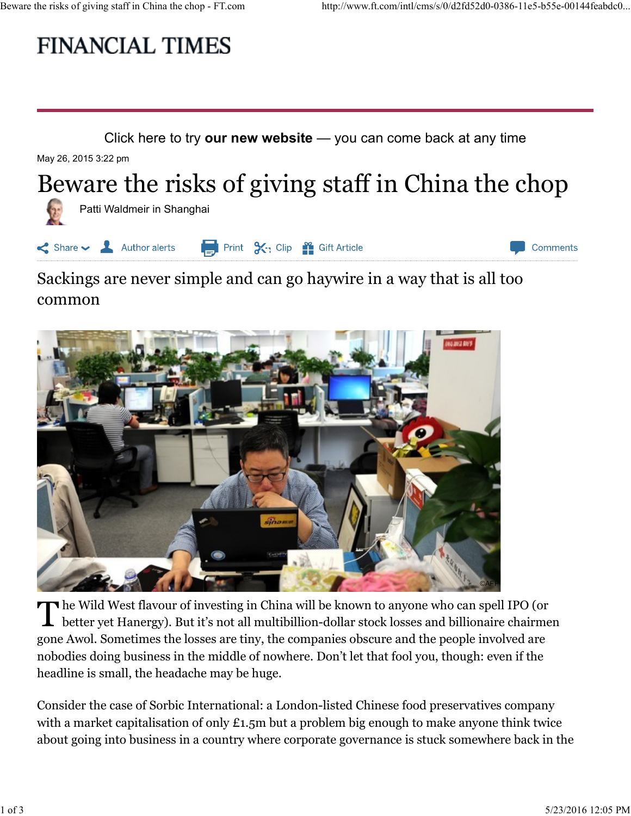# Beware the risks of giving staff in China the chop - FT.com http://www.ft.com/intl/cms/s/0/d2fd52d0-0386-11e5-b55e-00144feabdc0...<br>
FINANCIAL TIMES

Click here to try our new website  $-$  you can come back at any time

May 26, 2015 3:22 pm

## Beware the risks of giving staff in China the chop



### Sackings are never simple and can go haywire in a way that is all too common



he Wild West flavour of investing in China will be known to anyone who can spell IPO (or **L** better yet Hanergy). But it's not all multibillion-dollar stock losses and billionaire chairmen gone Awol. Sometimes the losses are tiny, the companies obscure and the people involved are nobodies doing business in the middle of nowhere. Don't let that fool you, though: even if the headline is small, the headache may be huge. The Wild West flavour of investing in China will be known to anyone who can spell IPO (or<br>better yet Hanergy). But it's not all multibillion-dollar stock losses and billionaire chairmen<br>gone Awol. Sometimes the losses are

Consider the case of Sorbic International: a London-listed Chinese food preservatives company with a market capitalisation of only £1.5m but a problem big enough to make anyone think twice about going into business in a country where corporate governance is stuck somewhere back in the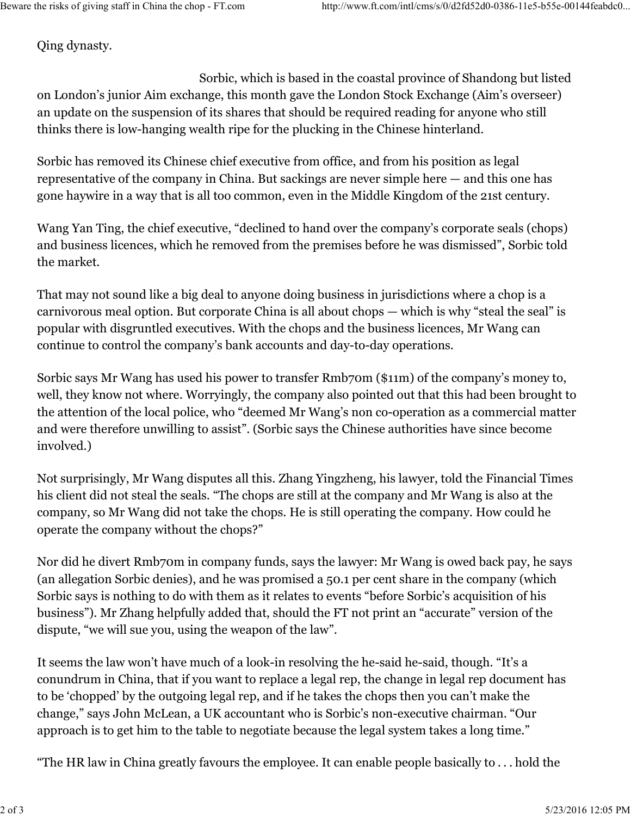Qing dynasty.

Sorbic, which is based in the coastal province of Shandong but listed on London's junior Aim exchange, this month gave the London Stock Exchange (Aim's overseer) an update on the suspension of its shares that should be required reading for anyone who still thinks there is low-hanging wealth ripe for the plucking in the Chinese hinterland.

Sorbic has removed its Chinese chief executive from office, and from his position as legal representative of the company in China. But sackings are never simple here — and this one has gone haywire in a way that is all too common, even in the Middle Kingdom of the 21st century.

Wang Yan Ting, the chief executive, "declined to hand over the company's corporate seals (chops) and business licences, which he removed from the premises before he was dismissed", Sorbic told the market.

That may not sound like a big deal to anyone doing business in jurisdictions where a chop is a carnivorous meal option. But corporate China is all about chops — which is why "steal the seal" is popular with disgruntled executives. With the chops and the business licences, Mr Wang can continue to control the company's bank accounts and day-to-day operations.

Sorbic says Mr Wang has used his power to transfer Rmb70m (\$11m) of the company's money to, well, they know not where. Worryingly, the company also pointed out that this had been brought to the attention of the local police, who "deemed Mr Wang's non co-operation as a commercial matter and were therefore unwilling to assist". (Sorbic says the Chinese authorities have since become involved.)

Not surprisingly, Mr Wang disputes all this. Zhang Yingzheng, his lawyer, told the Financial Times his client did not steal the seals. "The chops are still at the company and Mr Wang is also at the company, so Mr Wang did not take the chops. He is still operating the company. How could he operate the company without the chops?"

Nor did he divert Rmb70m in company funds, says the lawyer: Mr Wang is owed back pay, he says (an allegation Sorbic denies), and he was promised a 50.1 per cent share in the company (which Sorbic says is nothing to do with them as it relates to events "before Sorbic's acquisition of his business"). Mr Zhang helpfully added that, should the FT not print an "accurate" version of the dispute, "we will sue you, using the weapon of the law". Nor did he divert Rmb7om in company funds, says the lawyer: Mr Wang is owed back pay, he says (an allegation Sorbic denies), and he was promised a 50.1 per cent share in the company (which Sorbic says is nothing to do wit

It seems the law won't have much of a look-in resolving the he-said he-said, though. "It's a conundrum in China, that if you want to replace a legal rep, the change in legal rep document has to be 'chopped' by the outgoing legal rep, and if he takes the chops then you can't make the change," says John McLean, a UK accountant who is Sorbic's non-executive chairman. "Our approach is to get him to the table to negotiate because the legal system takes a long time."

"The HR law in China greatly favours the employee. It can enable people basically to . . . hold the